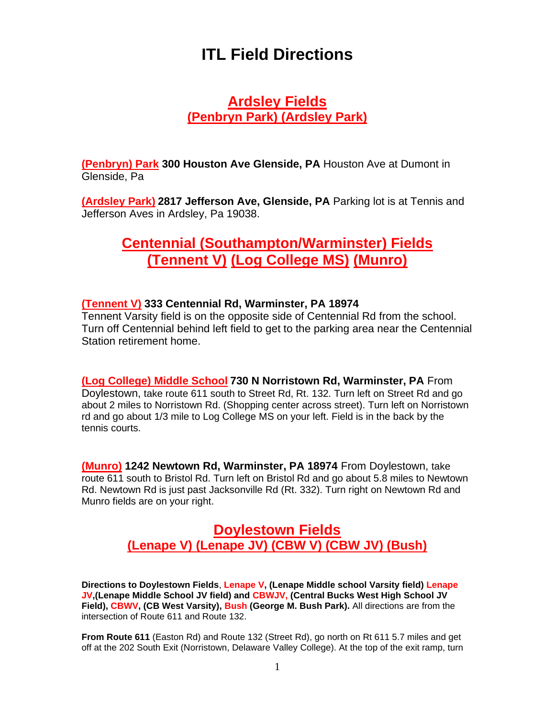# **ITL Field Directions**

#### **Ardsley Fields (Penbryn Park) (Ardsley Park)**

**(Penbryn) Park 300 Houston Ave Glenside, PA** Houston Ave at Dumont in Glenside, Pa

**(Ardsley Park) 2817 Jefferson Ave, Glenside, PA** Parking lot is at Tennis and Jefferson Aves in Ardsley, Pa 19038.

# **Centennial (Southampton/Warminster) Fields (Tennent V) (Log College MS) (Munro)**

#### **(Tennent V) 333 Centennial Rd, Warminster, PA 18974**

Tennent Varsity field is on the opposite side of Centennial Rd from the school. Turn off Centennial behind left field to get to the parking area near the Centennial Station retirement home.

#### **(Log College) Middle School 730 N Norristown Rd, Warminster, PA** From

Doylestown, take route 611 south to Street Rd, Rt. 132. Turn left on Street Rd and go about 2 miles to Norristown Rd. (Shopping center across street). Turn left on Norristown rd and go about 1/3 mile to Log College MS on your left. Field is in the back by the tennis courts.

**(Munro) 1242 Newtown Rd, Warminster, PA 18974** From Doylestown, take route 611 south to Bristol Rd. Turn left on Bristol Rd and go about 5.8 miles to Newtown Rd. Newtown Rd is just past Jacksonville Rd (Rt. 332). Turn right on Newtown Rd and Munro fields are on your right.

### **Doylestown Fields (Lenape V) (Lenape JV) (CBW V) (CBW JV) (Bush)**

**Directions to Doylestown Fields**, **Lenape V, (Lenape Middle school Varsity field) Lenape JV,(Lenape Middle School JV field) and CBWJV, (Central Bucks West High School JV Field), CBWV, (CB West Varsity), Bush (George M. Bush Park).** All directions are from the intersection of Route 611 and Route 132.

**From Route 611** (Easton Rd) and Route 132 (Street Rd), go north on Rt 611 5.7 miles and get off at the 202 South Exit (Norristown, Delaware Valley College). At the top of the exit ramp, turn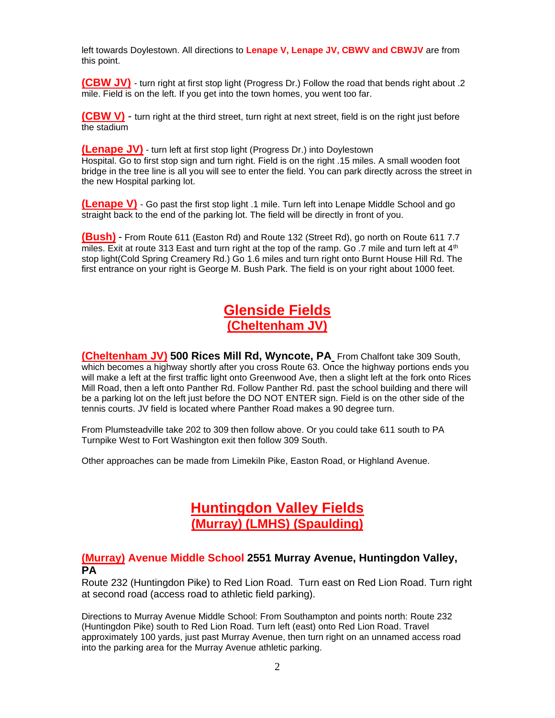left towards Doylestown. All directions to **Lenape V, Lenape JV, CBWV and CBWJV** are from this point.

**(CBW JV)** - turn right at first stop light (Progress Dr.) Follow the road that bends right about .2 mile. Field is on the left. If you get into the town homes, you went too far.

**(CBW V)** - turn right at the third street, turn right at next street, field is on the right just before the stadium

**(Lenape JV)** - turn left at first stop light (Progress Dr.) into Doylestown Hospital. Go to first stop sign and turn right. Field is on the right .15 miles. A small wooden foot bridge in the tree line is all you will see to enter the field. You can park directly across the street in the new Hospital parking lot.

**(Lenape V)** - Go past the first stop light .1 mile. Turn left into Lenape Middle School and go straight back to the end of the parking lot. The field will be directly in front of you.

**(Bush)** - From Route 611 (Easton Rd) and Route 132 (Street Rd), go north on Route 611 7.7 miles. Exit at route 313 East and turn right at the top of the ramp. Go .7 mile and turn left at  $4<sup>th</sup>$ stop light(Cold Spring Creamery Rd.) Go 1.6 miles and turn right onto Burnt House Hill Rd. The first entrance on your right is George M. Bush Park. The field is on your right about 1000 feet.

# **Glenside Fields (Cheltenham JV)**

**(Cheltenham JV) [500 Rices Mill Rd, Wyncote, PA](https://www.bing.com/maps?&ty=18&q=Cheltenham%20High%20School&satid=id.sid%3a222e3fbd-304e-41ee-f881-842b71beb92b&ppois=40.08556365966797_-75.15827941894531_Cheltenham%20High%20School_~&cp=40.085564~-75.158279&v=2&sV=1)** From Chalfont take 309 South, which becomes a highway shortly after you cross Route 63. Once the highway portions ends you will make a left at the first traffic light onto Greenwood Ave, then a slight left at the fork onto Rices Mill Road, then a left onto Panther Rd. Follow Panther Rd. past the school building and there will be a parking lot on the left just before the DO NOT ENTER sign. Field is on the other side of the tennis courts. JV field is located where Panther Road makes a 90 degree turn.

From Plumsteadville take 202 to 309 then follow above. Or you could take 611 south to PA Turnpike West to Fort Washington exit then follow 309 South.

Other approaches can be made from Limekiln Pike, Easton Road, or Highland Avenue.

# **Huntingdon Valley Fields (Murray) (LMHS) (Spaulding)**

#### **(Murray) Avenue Middle School 2551 Murray Avenue, Huntingdon Valley, PA**

Route 232 (Huntingdon Pike) to Red Lion Road. Turn east on Red Lion Road. Turn right at second road (access road to athletic field parking).

Directions to Murray Avenue Middle School: From Southampton and points north: Route 232 (Huntingdon Pike) south to Red Lion Road. Turn left (east) onto Red Lion Road. Travel approximately 100 yards, just past Murray Avenue, then turn right on an unnamed access road into the parking area for the Murray Avenue athletic parking.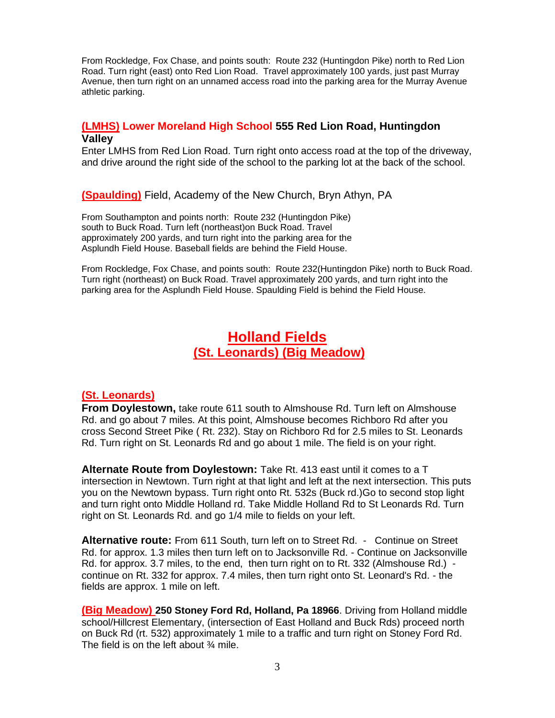From Rockledge, Fox Chase, and points south: Route 232 (Huntingdon Pike) north to Red Lion Road. Turn right (east) onto Red Lion Road. Travel approximately 100 yards, just past Murray Avenue, then turn right on an unnamed access road into the parking area for the Murray Avenue athletic parking.

#### **(LMHS) Lower Moreland High School 555 Red Lion Road, Huntingdon Valley**

Enter LMHS from Red Lion Road. Turn right onto access road at the top of the driveway, and drive around the right side of the school to the parking lot at the back of the school.

**(Spaulding)** Field, Academy of the New Church, Bryn Athyn, PA

From Southampton and points north: Route 232 (Huntingdon Pike) south to Buck Road. Turn left (northeast)on Buck Road. Travel approximately 200 yards, and turn right into the parking area for the Asplundh Field House. Baseball fields are behind the Field House.

From Rockledge, Fox Chase, and points south: Route 232(Huntingdon Pike) north to Buck Road. Turn right (northeast) on Buck Road. Travel approximately 200 yards, and turn right into the parking area for the Asplundh Field House. Spaulding Field is behind the Field House.

### **Holland Fields (St. Leonards) (Big Meadow)**

#### **(St. Leonards)**

**From Doylestown,** take route 611 south to Almshouse Rd. Turn left on Almshouse Rd. and go about 7 miles. At this point, Almshouse becomes Richboro Rd after you cross Second Street Pike ( Rt. 232). Stay on Richboro Rd for 2.5 miles to St. Leonards Rd. Turn right on St. Leonards Rd and go about 1 mile. The field is on your right.

**Alternate Route from Doylestown:** Take Rt. 413 east until it comes to a T intersection in Newtown. Turn right at that light and left at the next intersection. This puts you on the Newtown bypass. Turn right onto Rt. 532s (Buck rd.)Go to second stop light and turn right onto Middle Holland rd. Take Middle Holland Rd to St Leonards Rd. Turn right on St. Leonards Rd. and go 1/4 mile to fields on your left.

**Alternative route:** From 611 South, turn left on to Street Rd. - Continue on Street Rd. for approx. 1.3 miles then turn left on to Jacksonville Rd. - Continue on Jacksonville Rd. for approx. 3.7 miles, to the end, then turn right on to Rt. 332 (Almshouse Rd.) continue on Rt. 332 for approx. 7.4 miles, then turn right onto St. Leonard's Rd. - the fields are approx. 1 mile on left.

**(Big Meadow) 250 Stoney Ford Rd, Holland, Pa 18966**. Driving from Holland middle school/Hillcrest Elementary, (intersection of East Holland and Buck Rds) proceed north on Buck Rd (rt. 532) approximately 1 mile to a traffic and turn right on Stoney Ford Rd. The field is on the left about  $\frac{3}{4}$  mile.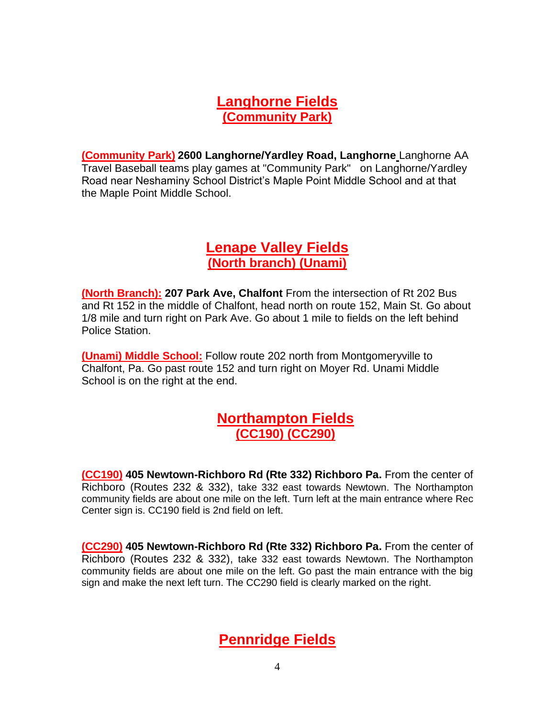### **Langhorne Fields (Community Park)**

**(Community Park) 2600 Langhorne/Yardley Road, Langhorne** Langhorne AA Travel Baseball teams play games at "Community Park" on Langhorne/Yardley Road near Neshaminy School District's Maple Point Middle School and at that the Maple Point Middle School.

### **Lenape Valley Fields (North branch) (Unami)**

**(North Branch): 207 Park Ave, Chalfont** From the intersection of Rt 202 Bus and Rt 152 in the middle of Chalfont, head north on route 152, Main St. Go about 1/8 mile and turn right on Park Ave. Go about 1 mile to fields on the left behind Police Station.

**(Unami) Middle School:** Follow route 202 north from Montgomeryville to Chalfont, Pa. Go past route 152 and turn right on Moyer Rd. Unami Middle School is on the right at the end.

#### **Northampton Fields (CC190) (CC290)**

**(CC190) 405 Newtown-Richboro Rd (Rte 332) Richboro Pa.** From the center of Richboro (Routes 232 & 332), take 332 east towards Newtown. The Northampton community fields are about one mile on the left. Turn left at the main entrance where Rec Center sign is. CC190 field is 2nd field on left.

**(CC290) 405 Newtown-Richboro Rd (Rte 332) Richboro Pa.** From the center of Richboro (Routes 232 & 332), take 332 east towards Newtown. The Northampton community fields are about one mile on the left. Go past the main entrance with the big sign and make the next left turn. The CC290 field is clearly marked on the right.

# **Pennridge Fields**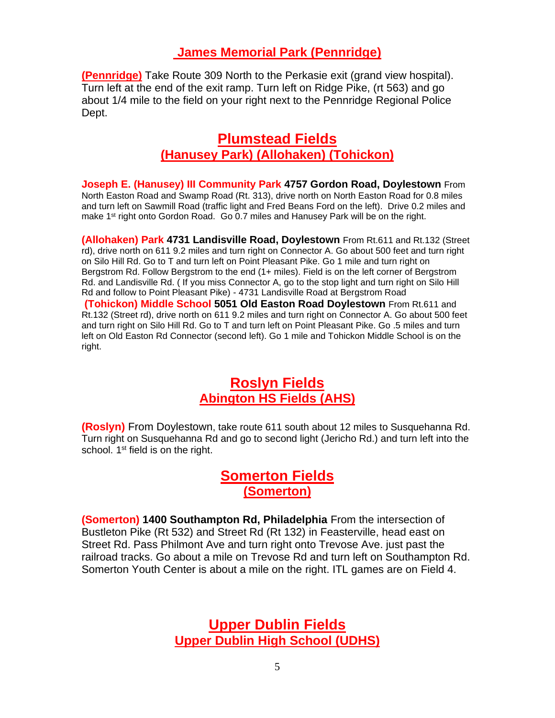#### **James Memorial Park (Pennridge)**

**(Pennridge)** Take Route 309 North to the Perkasie exit (grand view hospital). Turn left at the end of the exit ramp. Turn left on Ridge Pike, (rt 563) and go about 1/4 mile to the field on your right next to the Pennridge Regional Police Dept.

#### **Plumstead Fields (Hanusey Park) (Allohaken) (Tohickon)**

**Joseph E. (Hanusey) III Community Park 4757 Gordon Road, Doylestown** From North Easton Road and Swamp Road (Rt. 313), drive north on North Easton Road for 0.8 miles and turn left on Sawmill Road (traffic light and Fred Beans Ford on the left). Drive 0.2 miles and make 1<sup>st</sup> right onto Gordon Road. Go 0.7 miles and Hanusey Park will be on the right.

**(Allohaken) Park 4731 Landisville Road, Doylestown** From Rt.611 and Rt.132 (Street rd), drive north on 611 9.2 miles and turn right on Connector A. Go about 500 feet and turn right on Silo Hill Rd. Go to T and turn left on Point Pleasant Pike. Go 1 mile and turn right on Bergstrom Rd. Follow Bergstrom to the end (1+ miles). Field is on the left corner of Bergstrom Rd. and Landisville Rd. ( If you miss Connector A, go to the stop light and turn right on Silo Hill Rd and follow to Point Pleasant Pike) - 4731 Landisville Road at Bergstrom Road **(Tohickon) Middle School 5051 Old Easton Road Doylestown** From Rt.611 and Rt.132 (Street rd), drive north on 611 9.2 miles and turn right on Connector A. Go about 500 feet and turn right on Silo Hill Rd. Go to T and turn left on Point Pleasant Pike. Go .5 miles and turn left on Old Easton Rd Connector (second left). Go 1 mile and Tohickon Middle School is on the right.

#### **Roslyn Fields Abington HS Fields (AHS)**

**(Roslyn)** From Doylestown, take route 611 south about 12 miles to Susquehanna Rd. Turn right on Susquehanna Rd and go to second light (Jericho Rd.) and turn left into the school. 1<sup>st</sup> field is on the right.

#### **Somerton Fields (Somerton)**

**(Somerton) 1400 Southampton Rd, Philadelphia** From the intersection of Bustleton Pike (Rt 532) and Street Rd (Rt 132) in Feasterville, head east on Street Rd. Pass Philmont Ave and turn right onto Trevose Ave. just past the railroad tracks. Go about a mile on Trevose Rd and turn left on Southampton Rd. Somerton Youth Center is about a mile on the right. ITL games are on Field 4.

> **Upper Dublin Fields Upper Dublin High School (UDHS)**